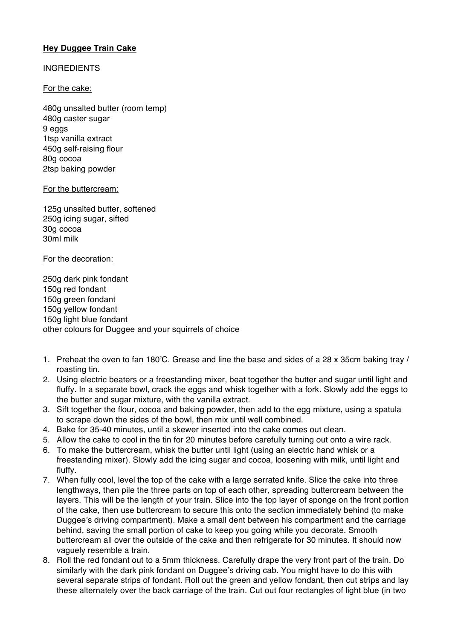# **Hey Duggee Train Cake**

# **INGREDIENTS**

# For the cake:

480g unsalted butter (room temp) 480g caster sugar 9 eggs 1tsp vanilla extract 450g self-raising flour 80g cocoa 2tsp baking powder

### For the buttercream:

125g unsalted butter, softened 250g icing sugar, sifted 30g cocoa 30ml milk

### For the decoration:

250g dark pink fondant 150g red fondant 150g green fondant 150g yellow fondant 150g light blue fondant other colours for Duggee and your squirrels of choice

- 1. Preheat the oven to fan 180'C. Grease and line the base and sides of a 28 x 35cm baking tray / roasting tin.
- 2. Using electric beaters or a freestanding mixer, beat together the butter and sugar until light and fluffy. In a separate bowl, crack the eggs and whisk together with a fork. Slowly add the eggs to the butter and sugar mixture, with the vanilla extract.
- 3. Sift together the flour, cocoa and baking powder, then add to the egg mixture, using a spatula to scrape down the sides of the bowl, then mix until well combined.
- 4. Bake for 35-40 minutes, until a skewer inserted into the cake comes out clean.
- 5. Allow the cake to cool in the tin for 20 minutes before carefully turning out onto a wire rack.
- 6. To make the buttercream, whisk the butter until light (using an electric hand whisk or a freestanding mixer). Slowly add the icing sugar and cocoa, loosening with milk, until light and fluffy.
- 7. When fully cool, level the top of the cake with a large serrated knife. Slice the cake into three lengthways, then pile the three parts on top of each other, spreading buttercream between the layers. This will be the length of your train. Slice into the top layer of sponge on the front portion of the cake, then use buttercream to secure this onto the section immediately behind (to make Duggee's driving compartment). Make a small dent between his compartment and the carriage behind, saving the small portion of cake to keep you going while you decorate. Smooth buttercream all over the outside of the cake and then refrigerate for 30 minutes. It should now vaguely resemble a train.
- 8. Roll the red fondant out to a 5mm thickness. Carefully drape the very front part of the train. Do similarly with the dark pink fondant on Duggee's driving cab. You might have to do this with several separate strips of fondant. Roll out the green and yellow fondant, then cut strips and lay these alternately over the back carriage of the train. Cut out four rectangles of light blue (in two